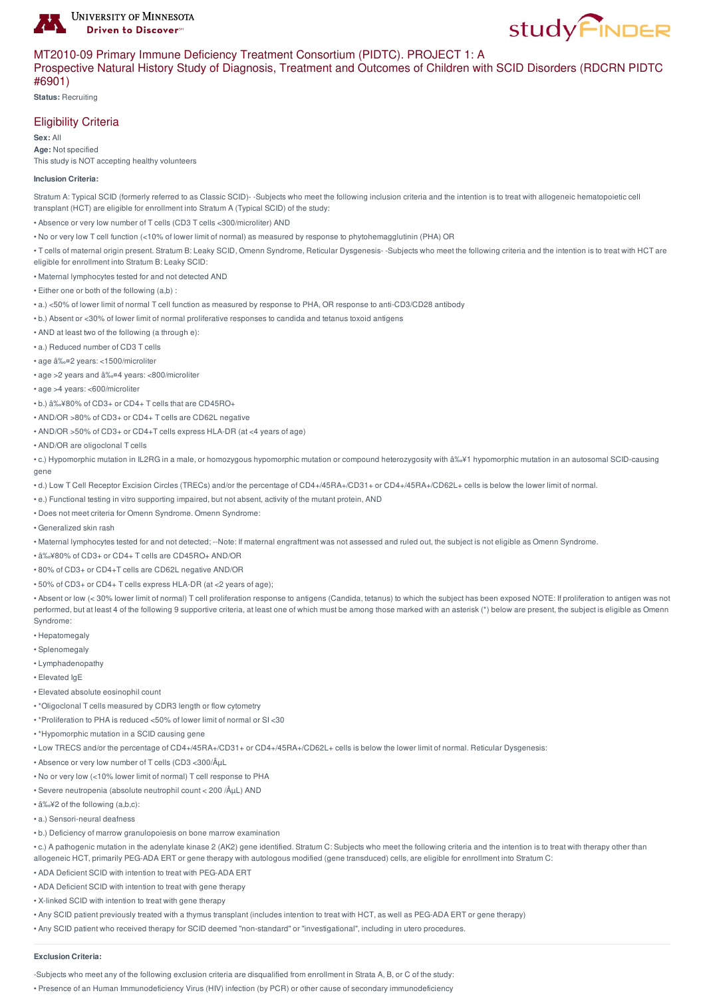

# MT2010-09 Primary Immune Deficiency Treatment Consortium (PIDTC). PROJECT 1: A

## Prospective Natural History Study of Diagnosis, Treatment and Outcomes of Children with SCID Disorders (RDCRN PIDTC #6901)

**Status:** Recruiting

# Eligibility Criteria

**Sex:** All

**Age:** Not specified This study is NOT accepting healthy volunteers

#### **Inclusion Criteria:**

Stratum A: Typical SCID (formerly referred to as Classic SCID)- -Subjects who meet the following inclusion criteria and the intention is to treat with allogeneic hematopoietic cell transplant (HCT) are eligible for enrollment into Stratum A (Typical SCID) of the study:

- Absence or very low number of T cells (CD3 T cells <300/microliter) AND
- No or very low T cell function (<10% of lower limit of normal) as measured by response to phytohemagglutinin (PHA) OR
- T cells of maternal origin present. Stratum B: Leaky SCID, Omenn Syndrome, Reticular Dysgenesis- -Subjects who meet the following criteria and the intention is to treat with HCT are
- eligible for enrollment into Stratum B: Leaky SCID:
- Maternal lymphocytes tested for and not detected AND
- $\cdot$  Fither one or both of the following (a,b) :
- a.) <50% of lower limit of normal T cell function as measured by response to PHA, OR response to anti-CD3/CD28 antibody
- b.) Absent or <30% of lower limit of normal proliferative responses to candida and tetanus toxoid antigens
- AND at least two of the following (a through e):
- a.) Reduced number of CD3 T cells
- age ≤2 years: <1500/microliter
- age > 2 years and  $â\%$ <sup>¤4</sup> years: <800/microliter
- age >4 years: <600/microliter
- b.) ≥80% of CD3+ or CD4+ T cells that are CD45RO+
- AND/OR >80% of CD3+ or CD4+ T cells are CD62L negative
- AND/OR >50% of CD3+ or CD4+T cells express HLA-DR (at <4 years of age)
- AND/OR are oligoclonal T cells

• c.) Hypomorphic mutation in IL2RG in a male, or homozygous hypomorphic mutation or compound heterozygosity with ≥1 hypomorphic mutation in an autosomal SCID-causing gene

- d.) Low T Cell Receptor Excision Circles (TRECs) and/or the percentage of CD4+/45RA+/CD31+ or CD4+/45RA+/CD62L+ cells is below the lower limit of normal.
- e.) Functional testing in vitro supporting impaired, but not absent, activity of the mutant protein, AND
- Does not meet criteria for Omenn Syndrome. Omenn Syndrome:
- Generalized skin rash
- Maternal lymphocytes tested for and not detected; --Note: If maternal engraftment was not assessed and ruled out, the subject is not eligible as Omenn Syndrome.
- $â\frac{6}{2}$  + 80% of CD3+ or CD4+ T cells are CD45RO+ AND/OR
- 80% of CD3+ or CD4+T cells are CD62L negative AND/OR
- 50% of CD3+ or CD4+ T cells express HLA-DR (at <2 years of age);

• Absent or low (< 30% lower limit of normal) T cell proliferation response to antigens (Candida, tetanus) to which the subject has been exposed NOTE: If proliferation to antigen was not performed, but at least 4 of the following 9 supportive criteria, at least one of which must be among those marked with an asterisk (\*) below are present, the subject is eligible as Omenn Syndrome:

- Hepatomegaly
- Splenomegaly
- Lymphadenopathy
- Elevated IgE
- Elevated absolute eosinophil count
- \*Oligoclonal T cells measured by CDR3 length or flow cytometry
- \*Proliferation to PHA is reduced <50% of lower limit of normal or SI <30
- \*Hypomorphic mutation in a SCID causing gene
- Low TRECS and/or the percentage of CD4+/45RA+/CD31+ or CD4+/45RA+/CD62L+ cells is below the lower limit of normal. Reticular Dysgenesis:
- Absence or very low number of T cells (CD3 <300/ $Å<sub>UL</sub>$
- No or very low (<10% lower limit of normal) T cell response to PHA
- Severe neutropenia (absolute neutrophil count < 200 /µL) AND
- $â\frac{2}{3}$  of the following (a,b,c):
- a.) Sensori-neural deafness
- b.) Deficiency of marrow granulopoiesis on bone marrow examination
- c.) A pathogenic mutation in the adenylate kinase 2 (AK2) gene identified. Stratum C: Subjects who meet the following criteria and the intention is to treat with therapy other than allogeneic HCT, primarily PEG-ADA ERT or gene therapy with autologous modified (gene transduced) cells, are eligible for enrollment into Stratum C:
- ADA Deficient SCID with intention to treat with PEG-ADA ERT
- ADA Deficient SCID with intention to treat with gene therapy
- X-linked SCID with intention to treat with gene therapy
- Any SCID patient previously treated with a thymus transplant (includes intention to treat with HCT, as well as PEG-ADA ERT or gene therapy)
- Any SCID patient who received therapy for SCID deemed "non-standard" or "investigational", including in utero procedures.

#### **Exclusion Criteria:**

-Subjects who meet any of the following exclusion criteria are disqualified from enrollment in Strata A, B, or C of the study:

• Presence of an Human Immunodeficiency Virus (HIV) infection (by PCR) or other cause of secondary immunodeficiency

**study FINDER**